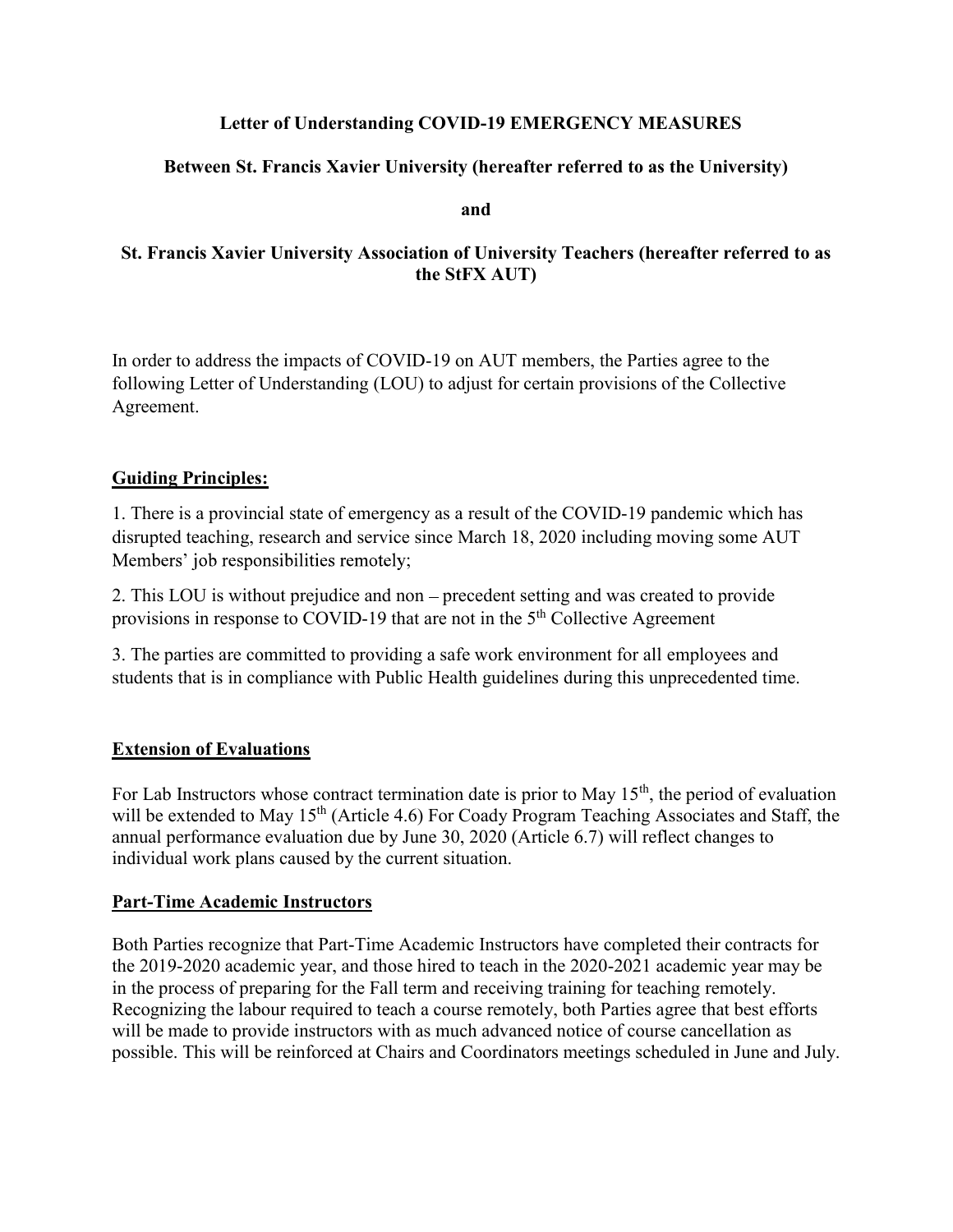## Letter of Understanding COVID-19 EMERGENCY MEASURES

# Between St. Francis Xavier University (hereafter referred to as the University)

and

## St. Francis Xavier University Association of University Teachers (hereafter referred to as the StFX AUT)

In order to address the impacts of COVID-19 on AUT members, the Parties agree to the following Letter of Understanding (LOU) to adjust for certain provisions of the Collective Agreement.

## Guiding Principles:

1. There is a provincial state of emergency as a result of the COVID-19 pandemic which has disrupted teaching, research and service since March 18, 2020 including moving some AUT ;

2. This LOU is without prejudice and non - precedent setting and was created to provide provisions in response to COVID-19 that are not in the 5<sup>th</sup> Collective Agreement

3. The parties are committed to providing a safe work environment for all employees and students that is in compliance with Public Health guidelines during this unprecedented time.

## Extension of Evaluations

For Lab Instructors whose contract termination date is prior to May  $15<sup>th</sup>$ , the period of evaluation will be extended to May 15<sup>th</sup> (Article 4.6) For Coady Program Teaching Associates and Staff, the annual performance evaluation due by June 30, 2020 (Article 6.7) will reflect changes to individual work plans caused by the current situation.

## Part-Time Academic Instructors

Both Parties recognize that Part-Time Academic Instructors have completed their contracts for the 2019-2020 academic year, and those hired to teach in the 2020-2021 academic year may be in the process of preparing for the Fall term and receiving training for teaching remotely. Recognizing the labour required to teach a course remotely, both Parties agree that best efforts will be made to provide instructors with as much advanced notice of course cancellation as possible. This will be reinforced at Chairs and Coordinators meetings scheduled in June and July.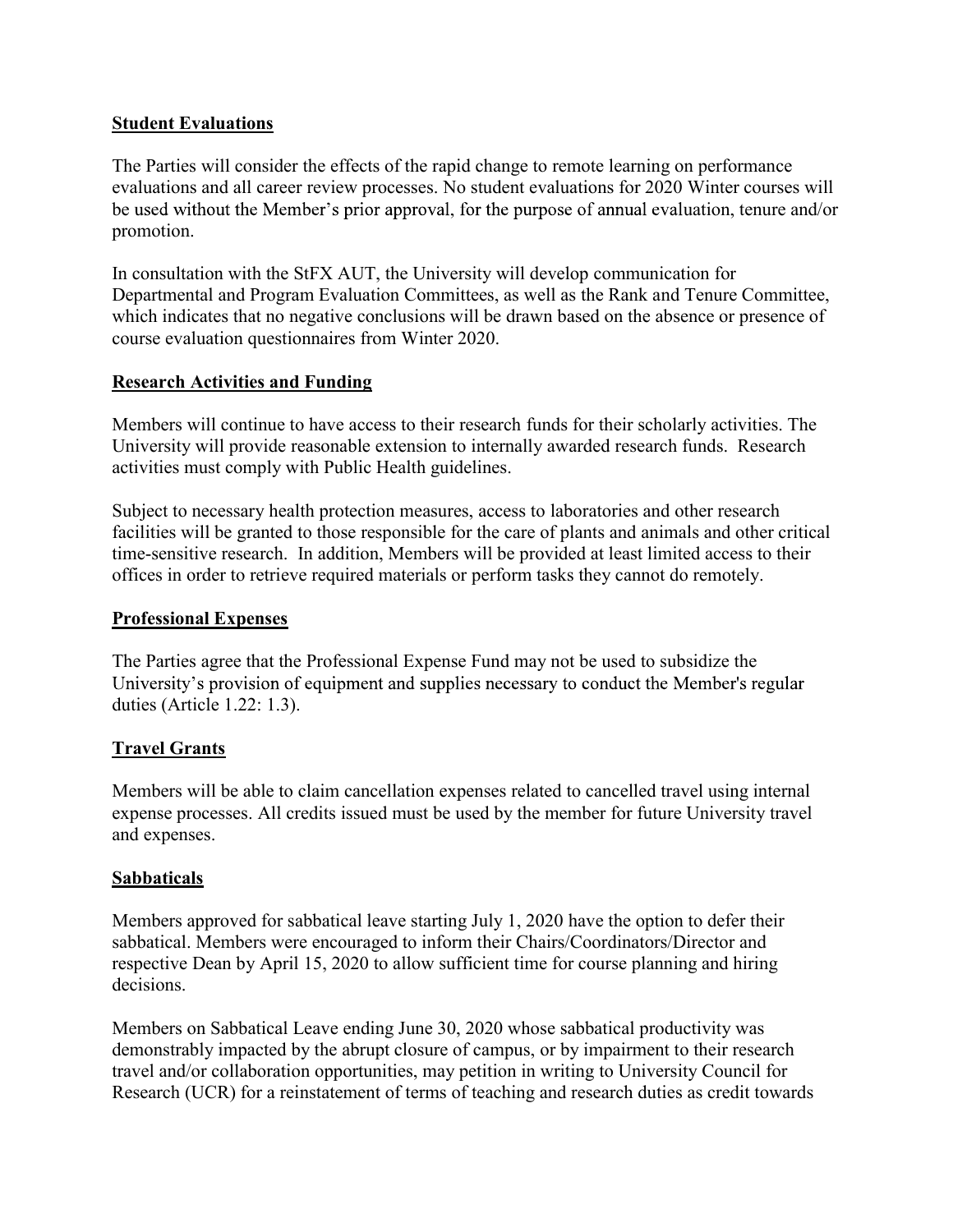## Student Evaluations

The Parties will consider the effects of the rapid change to remote learning on performance evaluations and all career review processes. No student evaluations for 2020 Winter courses will be used without the Member's prior approval, for the purpose of annual evaluation, tenure and/or promotion.

In consultation with the StFX AUT, the University will develop communication for Departmental and Program Evaluation Committees, as well as the Rank and Tenure Committee, which indicates that no negative conclusions will be drawn based on the absence or presence of course evaluation questionnaires from Winter 2020.

### Research Activities and Funding

Members will continue to have access to their research funds for their scholarly activities. The University will provide reasonable extension to internally awarded research funds. Research activities must comply with Public Health guidelines.

Subject to necessary health protection measures, access to laboratories and other research facilities will be granted to those responsible for the care of plants and animals and other critical time-sensitive research. In addition, Members will be provided at least limited access to their offices in order to retrieve required materials or perform tasks they cannot do remotely.

#### Professional Expenses

The Parties agree that the Professional Expense Fund may not be used to subsidize the University's provision of equipment and supplies necessary to conduct the Member's regular duties (Article 1.22: 1.3).

## **Travel Grants**

Members will be able to claim cancellation expenses related to cancelled travel using internal expense processes. All credits issued must be used by the member for future University travel and expenses.

#### Sabbaticals

Members approved for sabbatical leave starting July 1, 2020 have the option to defer their sabbatical. Members were encouraged to inform their Chairs/Coordinators/Director and respective Dean by April 15, 2020 to allow sufficient time for course planning and hiring decisions.

Members on Sabbatical Leave ending June 30, 2020 whose sabbatical productivity was demonstrably impacted by the abrupt closure of campus, or by impairment to their research travel and/or collaboration opportunities, may petition in writing to University Council for Research (UCR) for a reinstatement of terms of teaching and research duties as credit towards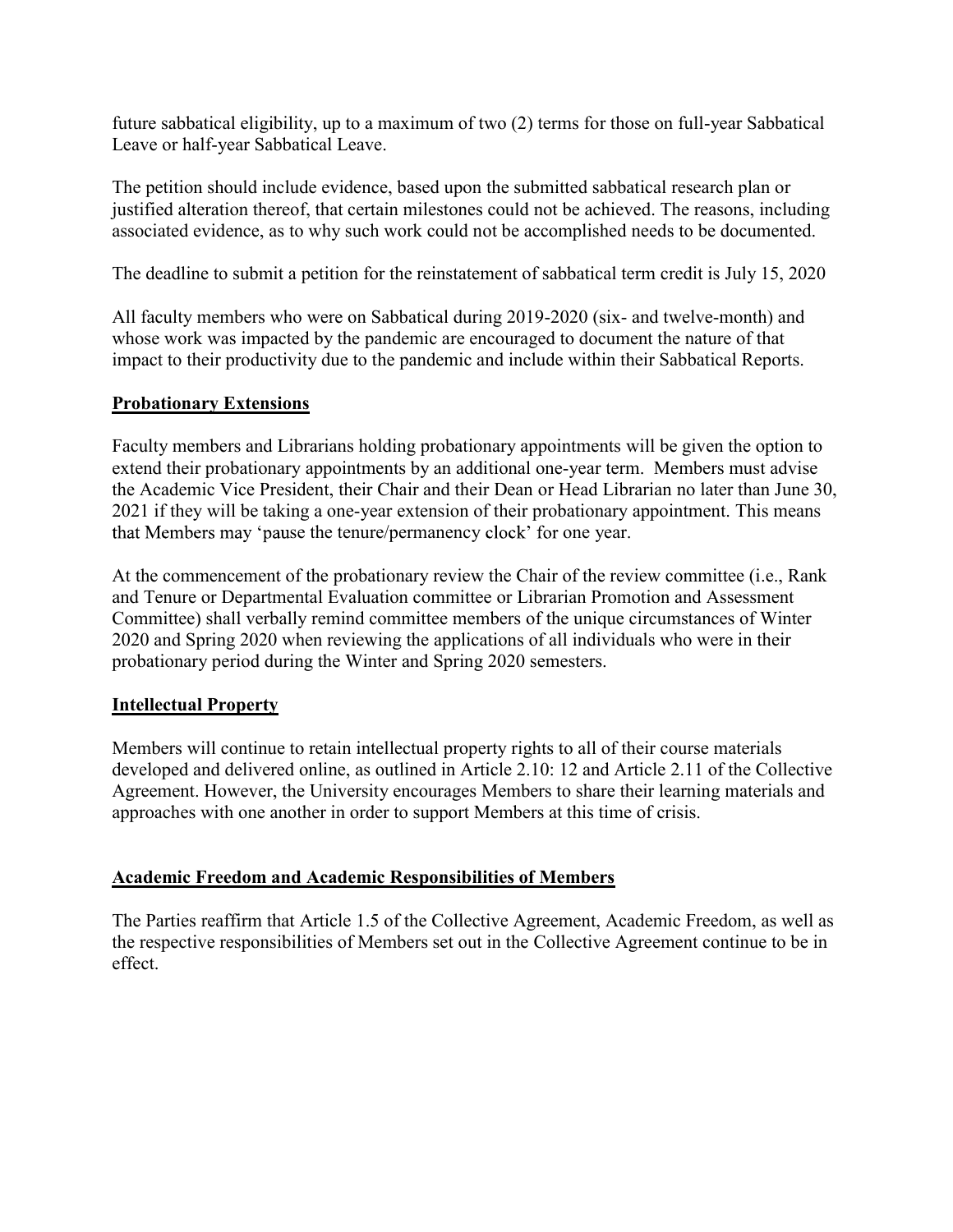future sabbatical eligibility, up to a maximum of two (2) terms for those on full-year Sabbatical Leave or half-year Sabbatical Leave.

The petition should include evidence, based upon the submitted sabbatical research plan or justified alteration thereof, that certain milestones could not be achieved. The reasons, including associated evidence, as to why such work could not be accomplished needs to be documented.

The deadline to submit a petition for the reinstatement of sabbatical term credit is July 15, 2020

All faculty members who were on Sabbatical during 2019-2020 (six- and twelve-month) and whose work was impacted by the pandemic are encouraged to document the nature of that impact to their productivity due to the pandemic and include within their Sabbatical Reports.

# Probationary Extensions

Faculty members and Librarians holding probationary appointments will be given the option to extend their probationary appointments by an additional one-year term. Members must advise the Academic Vice President, their Chair and their Dean or Head Librarian no later than June 30, 2021 if they will be taking a one-year extension of their probationary appointment. This means that Members may 'pause the tenure/permanency clock' for one year.

At the commencement of the probationary review the Chair of the review committee (i.e., Rank and Tenure or Departmental Evaluation committee or Librarian Promotion and Assessment Committee) shall verbally remind committee members of the unique circumstances of Winter 2020 and Spring 2020 when reviewing the applications of all individuals who were in their probationary period during the Winter and Spring 2020 semesters.

## Intellectual Property

Members will continue to retain intellectual property rights to all of their course materials developed and delivered online, as outlined in Article 2.10: 12 and Article 2.11 of the Collective Agreement. However, the University encourages Members to share their learning materials and approaches with one another in order to support Members at this time of crisis.

## Academic Freedom and Academic Responsibilities of Members

The Parties reaffirm that Article 1.5 of the Collective Agreement, Academic Freedom, as well as the respective responsibilities of Members set out in the Collective Agreement continue to be in effect.